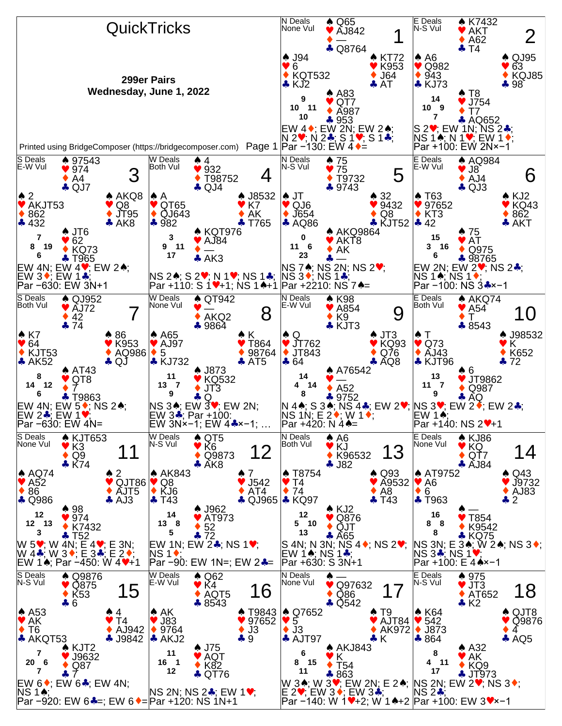